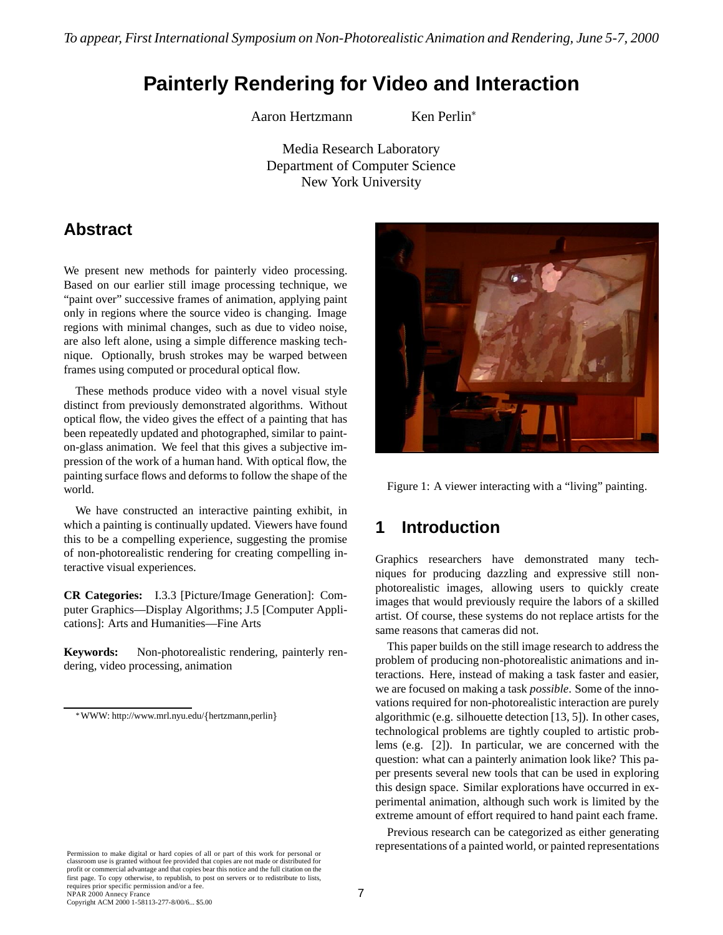# **Painterly Rendering for Video and Interaction**

Aaron Hertzmann Ken Perlin\*

Media Research Laboratory Department of Computer Science New York University

# **Abstract**

We present new methods for painterly video processing. Based on our earlier still image processing technique, we "paint over" successive frames of animation, applying paint only in regions where the source video is changing. Image regions with minimal changes, such as due to video noise, are also left alone, using a simple difference masking technique. Optionally, brush strokes may be warped between frames using computed or procedural optical flow.

These methods produce video with a novel visual style distinct from previously demonstrated algorithms. Without optical flow, the video gives the effect of a painting that has been repeatedly updated and photographed, similar to painton-glass animation. We feel that this gives a subjective impression of the work of a human hand. With optical flow, the painting surface flows and deforms to follow the shape of the world.

We have constructed an interactive painting exhibit, in which a painting is continually updated. Viewers have found this to be a compelling experience, suggesting the promise of non-photorealistic rendering for creating compelling interactive visual experiences.

**CR Categories:** I.3.3 [Picture/Image Generation]: Computer Graphics—Display Algorithms; J.5 [Computer Applications]: Arts and Humanities—Fine Arts

**Keywords:** Non-photorealistic rendering, painterly rendering, video processing, animation





Figure 1: A viewer interacting with a "living" painting.

# **1 Introduction**

Graphics researchers have demonstrated many techniques for producing dazzling and expressive still nonphotorealistic images, allowing users to quickly create images that would previously require the labors of a skilled artist. Of course, these systems do not replace artists for the same reasons that cameras did not.

This paper builds on the still image research to address the problem of producing non-photorealistic animations and interactions. Here, instead of making a task faster and easier, we are focused on making a task *possible*. Some of the innovations required for non-photorealistic interaction are purely algorithmic (e.g. silhouette detection [13, 5]). In other cases, technological problems are tightly coupled to artistic problems (e.g. [2]). In particular, we are concerned with the question: what can a painterly animation look like? This paper presents several new tools that can be used in exploring this design space. Similar explorations have occurred in experimental animation, although such work is limited by the extreme amount of effort required to hand paint each frame.

Previous research can be categorized as either generating Permission to make digital or hard copies of all or part of this work for personal or **Permission to make digital or hard copies of all or part of this work for personal or Permission of a painted world, or painted repre** 

<sup>\*</sup>WWW: http://www.mrl.nyu.edu/{hertzmann,perlin}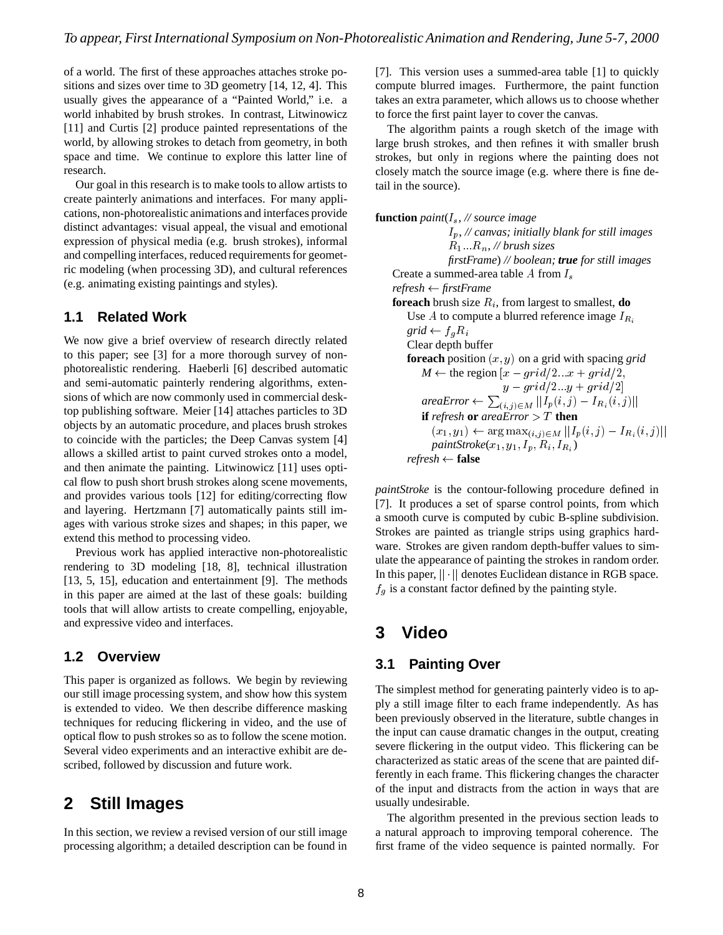of a world. The first of these approaches attaches stroke positions and sizes over time to 3D geometry [14, 12, 4]. This usually gives the appearance of a "Painted World," i.e. a world inhabited by brush strokes. In contrast, Litwinowicz [11] and Curtis [2] produce painted representations of the world, by allowing strokes to detach from geometry, in both space and time. We continue to explore this latter line of research.

Our goal in this research is to make tools to allow artists to create painterly animations and interfaces. For many applications, non-photorealistic animations and interfaces provide distinct advantages: visual appeal, the visual and emotional expression of physical media (e.g. brush strokes), informal and compelling interfaces, reduced requirements for geometric modeling (when processing 3D), and cultural references (e.g. animating existing paintings and styles).

#### **1.1 Related Work**

We now give a brief overview of research directly related to this paper; see [3] for a more thorough survey of nonphotorealistic rendering. Haeberli [6] described automatic and semi-automatic painterly rendering algorithms, extensions of which are now commonly used in commercial desktop publishing software. Meier [14] attaches particles to 3D objects by an automatic procedure, and places brush strokes to coincide with the particles; the Deep Canvas system [4] allows a skilled artist to paint curved strokes onto a model, and then animate the painting. Litwinowicz [11] uses optical flow to push short brush strokes along scene movements, and provides various tools [12] for editing/correcting flow and layering. Hertzmann [7] automatically paints still images with various stroke sizes and shapes; in this paper, we extend this method to processing video.

Previous work has applied interactive non-photorealistic rendering to 3D modeling [18, 8], technical illustration [13, 5, 15], education and entertainment [9]. The methods in this paper are aimed at the last of these goals: building tools that will allow artists to create compelling, enjoyable, and expressive video and interfaces.

#### **1.2 Overview**

This paper is organized as follows. We begin by reviewing our still image processing system, and show how this system is extended to video. We then describe difference masking techniques for reducing flickering in video, and the use of optical flow to push strokes so as to follow the scene motion. Several video experiments and an interactive exhibit are described, followed by discussion and future work.

# **2 Still Images**

In this section, we review a revised version of our still image processing algorithm; a detailed description can be found in [7]. This version uses a summed-area table [1] to quickly compute blurred images. Furthermore, the paint function takes an extra parameter, which allows us to choose whether to force the first paint layer to cover the canvas.

The algorithm paints a rough sketch of the image with large brush strokes, and then refines it with smaller brush strokes, but only in regions where the painting does not closely match the source image (e.g. where there is fine detail in the source).

**function** *paint*(Is, *// source image*

Ip, *// canvas; initially blank for still images*  $R_1:$ : $R_n$ , // brush sizes *firstFrame*) *// boolean; true for still images* Create a summed-area table A from  $I_s$ *refresh firstFrame* **foreach** brush size  $R_i$ , from largest to smallest, **do** Use A to compute a blurred reference image  $I_{R_i}$  $grid \leftarrow f_gR_i$ Clear depth buffer **foreach** position  $(x, y)$  on a grid with spacing *grid M*  $\leftarrow$  the region  $[x - grid/2...x + grid/2,$  $y = grid/2...y + grid/2]$  $areaError \leftarrow \sum_{(i,j)\in M} ||I_p(i,j) - I_{R_i}(i,j)||$ <br>**if** refresh **or**  $areaError > T$  **then**  $(x_1, y_1) \leftarrow \arg \max_{(i,j) \in M} ||I_p(i,j) - I_{R_i}(i,j)||$  $paintStroke(x_1, y_1, I_p, R_i, I_{R_i})$  $refresh \leftarrow false$ 

*paintStroke* is the contour-following procedure defined in [7]. It produces a set of sparse control points, from which a smooth curve is computed by cubic B-spline subdivision. Strokes are painted as triangle strips using graphics hardware. Strokes are given random depth-buffer values to simulate the appearance of painting the strokes in random order. In this paper,  $|| \cdot ||$  denotes Euclidean distance in RGB space.  $f_q$  is a constant factor defined by the painting style.

# **3 Video**

### **3.1 Painting Over**

The simplest method for generating painterly video is to apply a still image filter to each frame independently. As has been previously observed in the literature, subtle changes in the input can cause dramatic changes in the output, creating severe flickering in the output video. This flickering can be characterized as static areas of the scene that are painted differently in each frame. This flickering changes the character of the input and distracts from the action in ways that are usually undesirable.

The algorithm presented in the previous section leads to a natural approach to improving temporal coherence. The first frame of the video sequence is painted normally. For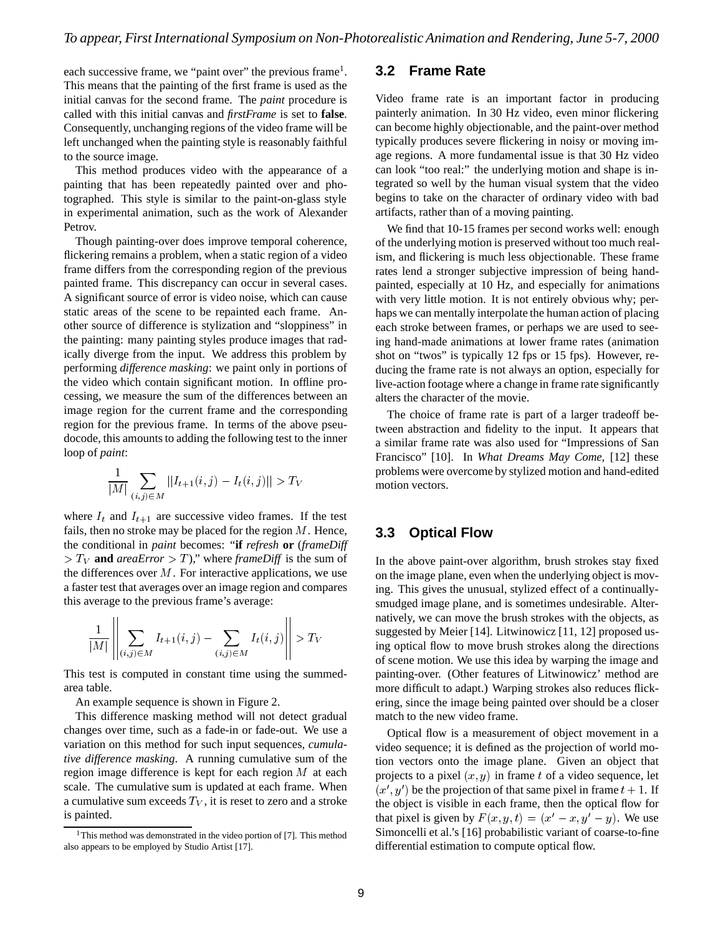each successive frame, we "paint over" the previous frame<sup>1</sup>. This means that the painting of the first frame is used as the initial canvas for the second frame. The *paint* procedure is called with this initial canvas and *firstFrame* is set to **false**. Consequently, unchanging regions of the video frame will be left unchanged when the painting style is reasonably faithful to the source image.

This method produces video with the appearance of a painting that has been repeatedly painted over and photographed. This style is similar to the paint-on-glass style in experimental animation, such as the work of Alexander Petrov.

Though painting-over does improve temporal coherence, flickering remains a problem, when a static region of a video frame differs from the corresponding region of the previous painted frame. This discrepancy can occur in several cases. A significant source of error is video noise, which can cause static areas of the scene to be repainted each frame. Another source of difference is stylization and "sloppiness" in the painting: many painting styles produce images that radically diverge from the input. We address this problem by performing *difference masking*: we paint only in portions of the video which contain significant motion. In offline processing, we measure the sum of the differences between an image region for the current frame and the corresponding region for the previous frame. In terms of the above pseudocode, this amounts to adding the following test to the inner loop of *paint*:

$$
\frac{1}{|M|}\sum_{(i,j)\in M}||I_{t+1}(i,j)-I_t(i,j)||>T_V
$$

where  $I_t$  and  $I_{t+1}$  are successive video frames. If the test fails, then no stroke may be placed for the region  $M$ . Hence, the conditional in *paint* becomes: "**if** *refresh* **or** (*frameDiff*  $> T_V$  and *areaError*  $> T$ )," where *frameDiff* is the sum of the differences over  $M$ . For interactive applications, we use a faster test that averages over an image region and compares this average to the previous frame's average:

$$
\frac{1}{|M|}\left\|\sum_{(i,j)\in M}I_{t+1}(i,j)-\sum_{(i,j)\in M}I_t(i,j)\right\|>T_V
$$

This test is computed in constant time using the summedarea table.

An example sequence is shown in Figure 2.

This difference masking method will not detect gradual changes over time, such as a fade-in or fade-out. We use a variation on this method for such input sequences, *cumulative difference masking*. A running cumulative sum of the region image difference is kept for each region M at each scale. The cumulative sum is updated at each frame. When a cumulative sum exceeds  $T_V$ , it is reset to zero and a stroke is painted.

### **3.2 Frame Rate**

Video frame rate is an important factor in producing painterly animation. In 30 Hz video, even minor flickering can become highly objectionable, and the paint-over method typically produces severe flickering in noisy or moving image regions. A more fundamental issue is that 30 Hz video can look "too real:" the underlying motion and shape is integrated so well by the human visual system that the video begins to take on the character of ordinary video with bad artifacts, rather than of a moving painting.

We find that 10-15 frames per second works well: enough of the underlying motion is preserved without too much realism, and flickering is much less objectionable. These frame rates lend a stronger subjective impression of being handpainted, especially at 10 Hz, and especially for animations with very little motion. It is not entirely obvious why; perhaps we can mentally interpolate the human action of placing each stroke between frames, or perhaps we are used to seeing hand-made animations at lower frame rates (animation shot on "twos" is typically 12 fps or 15 fps). However, reducing the frame rate is not always an option, especially for live-action footage where a change in frame rate significantly alters the character of the movie.

The choice of frame rate is part of a larger tradeoff between abstraction and fidelity to the input. It appears that a similar frame rate was also used for "Impressions of San Francisco" [10]. In *What Dreams May Come,* [12] these problems were overcome by stylized motion and hand-edited motion vectors.

### **3.3 Optical Flow**

In the above paint-over algorithm, brush strokes stay fixed on the image plane, even when the underlying object is moving. This gives the unusual, stylized effect of a continuallysmudged image plane, and is sometimes undesirable. Alternatively, we can move the brush strokes with the objects, as suggested by Meier [14]. Litwinowicz [11, 12] proposed using optical flow to move brush strokes along the directions of scene motion. We use this idea by warping the image and painting-over. (Other features of Litwinowicz' method are more difficult to adapt.) Warping strokes also reduces flickering, since the image being painted over should be a closer match to the new video frame.

Optical flow is a measurement of object movement in a video sequence; it is defined as the projection of world motion vectors onto the image plane. Given an object that projects to a pixel  $(x, y)$  in frame t of a video sequence, let  $(x', y')$  be the projection of that same pixel in frame  $t + 1$ . If the object is visible in each frame, then the optical flow for that pixel is given by  $F(x, y, t)=(x'-x, y'-y)$ . We use Simoncelli et al.'s [16] probabilistic variant of coarse-to-fine differential estimation to compute optical flow.

<sup>&</sup>lt;sup>1</sup>This method was demonstrated in the video portion of [7]. This method also appears to be employed by Studio Artist [17].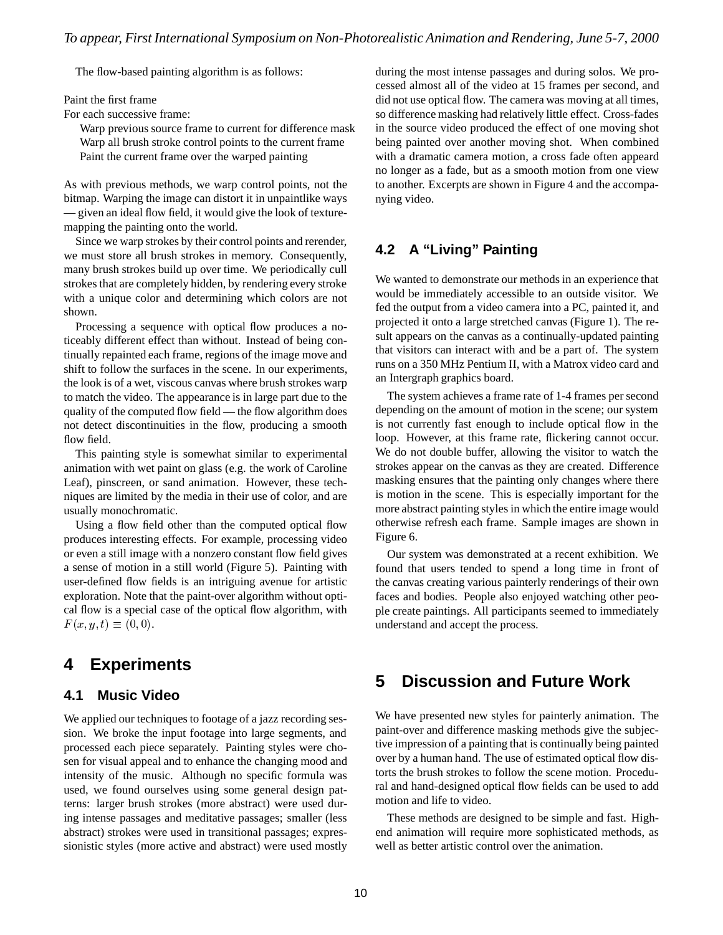The flow-based painting algorithm is as follows:

#### Paint the first frame

For each successive frame:

Warp previous source frame to current for difference mask Warp all brush stroke control points to the current frame Paint the current frame over the warped painting

As with previous methods, we warp control points, not the bitmap. Warping the image can distort it in unpaintlike ways — given an ideal flow field, it would give the look of texturemapping the painting onto the world.

Since we warp strokes by their control points and rerender, we must store all brush strokes in memory. Consequently, many brush strokes build up over time. We periodically cull strokes that are completely hidden, by rendering every stroke with a unique color and determining which colors are not shown.

Processing a sequence with optical flow produces a noticeably different effect than without. Instead of being continually repainted each frame, regions of the image move and shift to follow the surfaces in the scene. In our experiments, the look is of a wet, viscous canvas where brush strokes warp to match the video. The appearance is in large part due to the quality of the computed flow field — the flow algorithm does not detect discontinuities in the flow, producing a smooth flow field.

This painting style is somewhat similar to experimental animation with wet paint on glass (e.g. the work of Caroline Leaf), pinscreen, or sand animation. However, these techniques are limited by the media in their use of color, and are usually monochromatic.

Using a flow field other than the computed optical flow produces interesting effects. For example, processing video or even a still image with a nonzero constant flow field gives a sense of motion in a still world (Figure 5). Painting with user-defined flow fields is an intriguing avenue for artistic exploration. Note that the paint-over algorithm without optical flow is a special case of the optical flow algorithm, with  $F(x, y, t) \equiv (0, 0).$ 

# **4 Experiments**

#### **4.1 Music Video**

We applied our techniques to footage of a jazz recording session. We broke the input footage into large segments, and processed each piece separately. Painting styles were chosen for visual appeal and to enhance the changing mood and intensity of the music. Although no specific formula was used, we found ourselves using some general design patterns: larger brush strokes (more abstract) were used during intense passages and meditative passages; smaller (less abstract) strokes were used in transitional passages; expressionistic styles (more active and abstract) were used mostly during the most intense passages and during solos. We processed almost all of the video at 15 frames per second, and did not use optical flow. The camera was moving at all times, so difference masking had relatively little effect. Cross-fades in the source video produced the effect of one moving shot being painted over another moving shot. When combined with a dramatic camera motion, a cross fade often appeard no longer as a fade, but as a smooth motion from one view to another. Excerpts are shown in Figure 4 and the accompanying video.

### **4.2 A "Living" Painting**

We wanted to demonstrate our methods in an experience that would be immediately accessible to an outside visitor. We fed the output from a video camera into a PC, painted it, and projected it onto a large stretched canvas (Figure 1). The result appears on the canvas as a continually-updated painting that visitors can interact with and be a part of. The system runs on a 350 MHz Pentium II, with a Matrox video card and an Intergraph graphics board.

The system achieves a frame rate of 1-4 frames per second depending on the amount of motion in the scene; our system is not currently fast enough to include optical flow in the loop. However, at this frame rate, flickering cannot occur. We do not double buffer, allowing the visitor to watch the strokes appear on the canvas as they are created. Difference masking ensures that the painting only changes where there is motion in the scene. This is especially important for the more abstract painting styles in which the entire image would otherwise refresh each frame. Sample images are shown in Figure 6.

Our system was demonstrated at a recent exhibition. We found that users tended to spend a long time in front of the canvas creating various painterly renderings of their own faces and bodies. People also enjoyed watching other people create paintings. All participants seemed to immediately understand and accept the process.

# **5 Discussion and Future Work**

We have presented new styles for painterly animation. The paint-over and difference masking methods give the subjective impression of a painting that is continually being painted over by a human hand. The use of estimated optical flow distorts the brush strokes to follow the scene motion. Procedural and hand-designed optical flow fields can be used to add motion and life to video.

These methods are designed to be simple and fast. Highend animation will require more sophisticated methods, as well as better artistic control over the animation.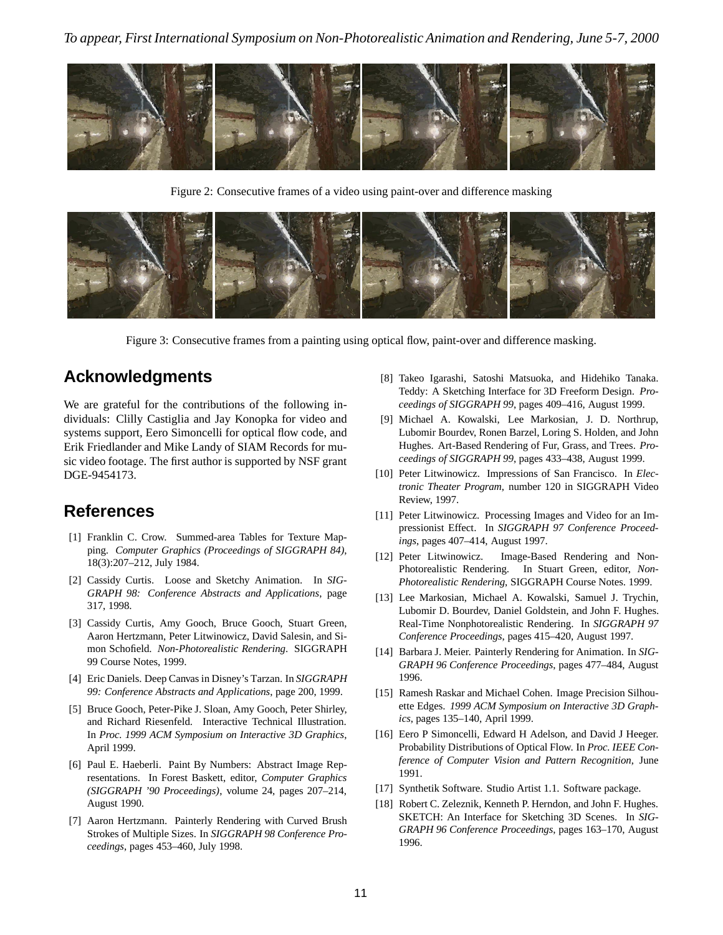

Figure 2: Consecutive frames of a video using paint-over and difference masking



Figure 3: Consecutive frames from a painting using optical flow, paint-over and difference masking.

# **Acknowledgments**

We are grateful for the contributions of the following individuals: Clilly Castiglia and Jay Konopka for video and systems support, Eero Simoncelli for optical flow code, and Erik Friedlander and Mike Landy of SIAM Records for music video footage. The first author is supported by NSF grant DGE-9454173.

# **References**

- [1] Franklin C. Crow. Summed-area Tables for Texture Mapping. *Computer Graphics (Proceedings of SIGGRAPH 84)*, 18(3):207–212, July 1984.
- [2] Cassidy Curtis. Loose and Sketchy Animation. In *SIG-GRAPH 98: Conference Abstracts and Applications*, page 317, 1998.
- [3] Cassidy Curtis, Amy Gooch, Bruce Gooch, Stuart Green, Aaron Hertzmann, Peter Litwinowicz, David Salesin, and Simon Schofield. *Non-Photorealistic Rendering*. SIGGRAPH 99 Course Notes, 1999.
- [4] Eric Daniels. Deep Canvas in Disney's Tarzan. In *SIGGRAPH 99: Conference Abstracts and Applications*, page 200, 1999.
- [5] Bruce Gooch, Peter-Pike J. Sloan, Amy Gooch, Peter Shirley, and Richard Riesenfeld. Interactive Technical Illustration. In *Proc. 1999 ACM Symposium on Interactive 3D Graphics*, April 1999.
- [6] Paul E. Haeberli. Paint By Numbers: Abstract Image Representations. In Forest Baskett, editor, *Computer Graphics (SIGGRAPH '90 Proceedings)*, volume 24, pages 207–214, August 1990.
- [7] Aaron Hertzmann. Painterly Rendering with Curved Brush Strokes of Multiple Sizes. In *SIGGRAPH 98 Conference Proceedings*, pages 453–460, July 1998.
- [8] Takeo Igarashi, Satoshi Matsuoka, and Hidehiko Tanaka. Teddy: A Sketching Interface for 3D Freeform Design. *Proceedings of SIGGRAPH 99*, pages 409–416, August 1999.
- [9] Michael A. Kowalski, Lee Markosian, J. D. Northrup, Lubomir Bourdev, Ronen Barzel, Loring S. Holden, and John Hughes. Art-Based Rendering of Fur, Grass, and Trees. *Proceedings of SIGGRAPH 99*, pages 433–438, August 1999.
- [10] Peter Litwinowicz. Impressions of San Francisco. In *Electronic Theater Program*, number 120 in SIGGRAPH Video Review, 1997.
- [11] Peter Litwinowicz. Processing Images and Video for an Impressionist Effect. In *SIGGRAPH 97 Conference Proceedings*, pages 407–414, August 1997.
- [12] Peter Litwinowicz. Image-Based Rendering and Non-Photorealistic Rendering. In Stuart Green, editor, *Non-Photorealistic Rendering*, SIGGRAPH Course Notes. 1999.
- [13] Lee Markosian, Michael A. Kowalski, Samuel J. Trychin, Lubomir D. Bourdev, Daniel Goldstein, and John F. Hughes. Real-Time Nonphotorealistic Rendering. In *SIGGRAPH 97 Conference Proceedings*, pages 415–420, August 1997.
- [14] Barbara J. Meier. Painterly Rendering for Animation. In *SIG-GRAPH 96 Conference Proceedings*, pages 477–484, August 1996.
- [15] Ramesh Raskar and Michael Cohen. Image Precision Silhouette Edges. *1999 ACM Symposium on Interactive 3D Graphics*, pages 135–140, April 1999.
- [16] Eero P Simoncelli, Edward H Adelson, and David J Heeger. Probability Distributions of Optical Flow. In *Proc. IEEE Conference of Computer Vision and Pattern Recognition*, June 1991.
- [17] Synthetik Software. Studio Artist 1.1. Software package.
- [18] Robert C. Zeleznik, Kenneth P. Herndon, and John F. Hughes. SKETCH: An Interface for Sketching 3D Scenes. In *SIG-GRAPH 96 Conference Proceedings*, pages 163–170, August 1996.